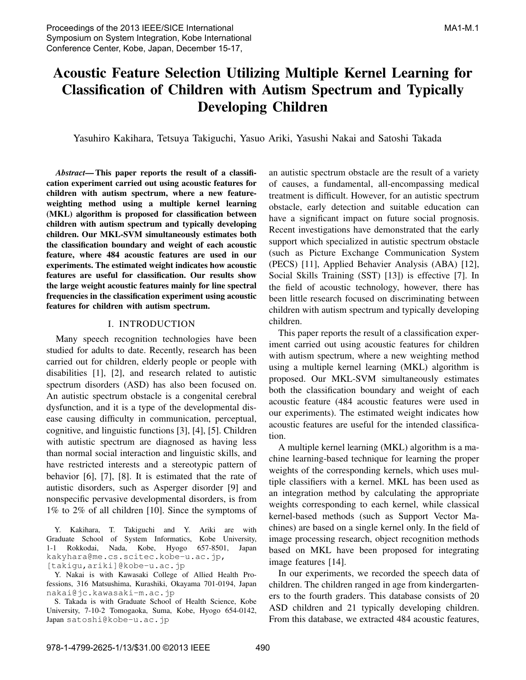# Acoustic Feature Selection Utilizing Multiple Kernel Learning for Classification of Children with Autism Spectrum and Typically Developing Children

Yasuhiro Kakihara, Tetsuya Takiguchi, Yasuo Ariki, Yasushi Nakai and Satoshi Takada

*Abstract*— This paper reports the result of a classification experiment carried out using acoustic features for children with autism spectrum, where a new featureweighting method using a multiple kernel learning (MKL) algorithm is proposed for classification between children with autism spectrum and typically developing children. Our MKL-SVM simultaneously estimates both the classification boundary and weight of each acoustic feature, where 484 acoustic features are used in our experiments. The estimated weight indicates how acoustic features are useful for classification. Our results show the large weight acoustic features mainly for line spectral frequencies in the classification experiment using acoustic features for children with autism spectrum.

#### I. INTRODUCTION

Many speech recognition technologies have been studied for adults to date. Recently, research has been carried out for children, elderly people or people with disabilities [1], [2], and research related to autistic spectrum disorders (ASD) has also been focused on. An autistic spectrum obstacle is a congenital cerebral dysfunction, and it is a type of the developmental disease causing difficulty in communication, perceptual, cognitive, and linguistic functions [3], [4], [5]. Children with autistic spectrum are diagnosed as having less than normal social interaction and linguistic skills, and have restricted interests and a stereotypic pattern of behavior [6], [7], [8]. It is estimated that the rate of autistic disorders, such as Asperger disorder [9] and nonspecific pervasive developmental disorders, is from 1% to 2% of all children [10]. Since the symptoms of

Y. Kakihara, T. Takiguchi and Y. Ariki are with Graduate School of System Informatics, Kobe University, 1-1 Rokkodai, Nada, Kobe, Hyogo 657-8501, Japan kakyhara@me.cs.scitec.kobe-u.ac.jp,

[takigu,ariki]@kobe-u.ac.jp

Y. Nakai is with Kawasaki College of Allied Health Professions, 316 Matsushima, Kurashiki, Okayama 701-0194, Japan nakai@jc.kawasaki-m.ac.jp

S. Takada is with Graduate School of Health Science, Kobe University, 7-10-2 Tomogaoka, Suma, Kobe, Hyogo 654-0142, Japan satoshi@kobe-u.ac.jp

an autistic spectrum obstacle are the result of a variety of causes, a fundamental, all-encompassing medical treatment is difficult. However, for an autistic spectrum obstacle, early detection and suitable education can have a significant impact on future social prognosis. Recent investigations have demonstrated that the early support which specialized in autistic spectrum obstacle (such as Picture Exchange Communication System (PECS) [11], Applied Behavier Analysis (ABA) [12], Social Skills Training (SST) [13]) is effective [7]. In the field of acoustic technology, however, there has been little research focused on discriminating between children with autism spectrum and typically developing children.

This paper reports the result of a classification experiment carried out using acoustic features for children with autism spectrum, where a new weighting method using a multiple kernel learning (MKL) algorithm is proposed. Our MKL-SVM simultaneously estimates both the classification boundary and weight of each acoustic feature (484 acoustic features were used in our experiments). The estimated weight indicates how acoustic features are useful for the intended classification.

A multiple kernel learning (MKL) algorithm is a machine learning-based technique for learning the proper weights of the corresponding kernels, which uses multiple classifiers with a kernel. MKL has been used as an integration method by calculating the appropriate weights corresponding to each kernel, while classical kernel-based methods (such as Support Vector Machines) are based on a single kernel only. In the field of image processing research, object recognition methods based on MKL have been proposed for integrating image features [14].

In our experiments, we recorded the speech data of children. The children ranged in age from kindergarteners to the fourth graders. This database consists of 20 ASD children and 21 typically developing children. From this database, we extracted 484 acoustic features,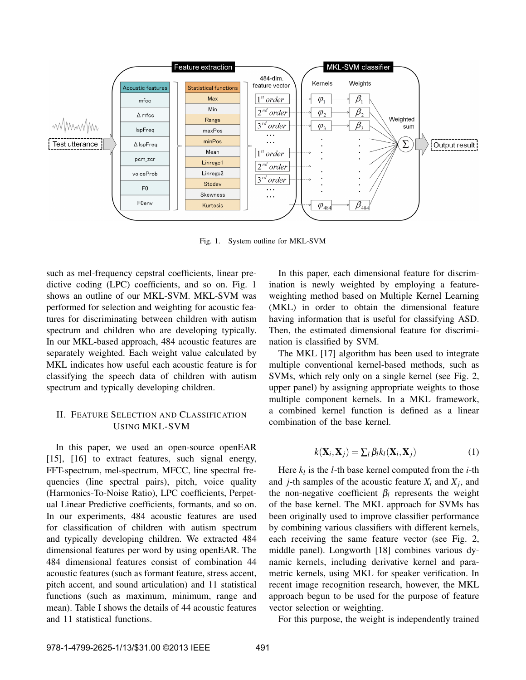

Fig. 1. System outline for MKL-SVM

such as mel-frequency cepstral coefficients, linear predictive coding (LPC) coefficients, and so on. Fig. 1 shows an outline of our MKL-SVM. MKL-SVM was performed for selection and weighting for acoustic features for discriminating between children with autism spectrum and children who are developing typically. In our MKL-based approach, 484 acoustic features are separately weighted. Each weight value calculated by MKL indicates how useful each acoustic feature is for classifying the speech data of children with autism spectrum and typically developing children.

### II. FEATURE SELECTION AND CLASSIFICATION USING MKL-SVM

In this paper, we used an open-source openEAR [15], [16] to extract features, such signal energy, FFT-spectrum, mel-spectrum, MFCC, line spectral frequencies (line spectral pairs), pitch, voice quality (Harmonics-To-Noise Ratio), LPC coefficients, Perpetual Linear Predictive coefficients, formants, and so on. In our experiments, 484 acoustic features are used for classification of children with autism spectrum and typically developing children. We extracted 484 dimensional features per word by using openEAR. The 484 dimensional features consist of combination 44 acoustic features (such as formant feature, stress accent, pitch accent, and sound articulation) and 11 statistical functions (such as maximum, minimum, range and mean). Table I shows the details of 44 acoustic features and 11 statistical functions.

In this paper, each dimensional feature for discrimination is newly weighted by employing a featureweighting method based on Multiple Kernel Learning (MKL) in order to obtain the dimensional feature having information that is useful for classifying ASD. Then, the estimated dimensional feature for discrimination is classified by SVM.

The MKL [17] algorithm has been used to integrate multiple conventional kernel-based methods, such as SVMs, which rely only on a single kernel (see Fig. 2, upper panel) by assigning appropriate weights to those multiple component kernels. In a MKL framework, a combined kernel function is defined as a linear combination of the base kernel.

$$
k(\mathbf{X}_i, \mathbf{X}_j) = \sum_l \beta_l k_l(\mathbf{X}_i, \mathbf{X}_j)
$$
 (1)

Here *k<sup>l</sup>* is the *l*-th base kernel computed from the *i*-th and *j*-th samples of the acoustic feature  $X_i$  and  $X_j$ , and the non-negative coefficient  $\beta_l$  represents the weight of the base kernel. The MKL approach for SVMs has been originally used to improve classifier performance by combining various classifiers with different kernels, each receiving the same feature vector (see Fig. 2, middle panel). Longworth [18] combines various dynamic kernels, including derivative kernel and parametric kernels, using MKL for speaker verification. In recent image recognition research, however, the MKL approach begun to be used for the purpose of feature vector selection or weighting.

For this purpose, the weight is independently trained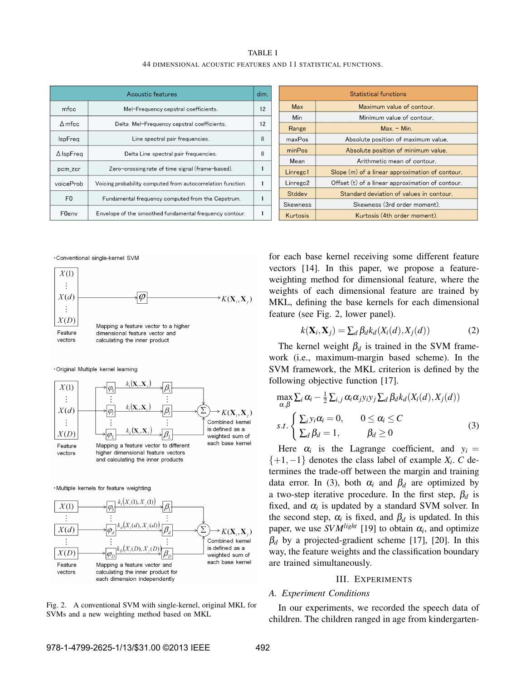| <b>TABLE I</b>                                                 |
|----------------------------------------------------------------|
| 44 DIMENSIONAL ACOUSTIC FEATURES AND 11 STATISTICAL FUNCTIONS. |

| Acoustic features                                                |                                                             | dim. |  |
|------------------------------------------------------------------|-------------------------------------------------------------|------|--|
| mfcc                                                             | Mel-Frequency cepstral coefficients.                        |      |  |
| $\Delta$ mfcc                                                    | Delta Mel-Frequency cepstral coefficients.                  |      |  |
| <b>IspFreq</b>                                                   | Line spectral pair frequencies.                             | 8    |  |
| $\Delta$ IspFreq                                                 | Delta Line spectral pair frequencies.                       |      |  |
| pcm_zcr                                                          | Zero-crossing rate of time signal (frame-based).            |      |  |
| voiceProb                                                        | Voicing probability computed from autocorrelation function. |      |  |
| F0                                                               | Fundamental frequency computed from the Cepstrum.           |      |  |
| F0env<br>Envelope of the smoothed fundamental frequency contour. |                                                             |      |  |

|                                                                          | <b>Statistical functions</b>                    |  |  |
|--------------------------------------------------------------------------|-------------------------------------------------|--|--|
| <b>Max</b>                                                               | Maximum value of contour.                       |  |  |
| Min                                                                      | Minimum value of contour.                       |  |  |
| Range                                                                    | $Max. - Min.$                                   |  |  |
| maxPos                                                                   | Absolute position of maximum value.             |  |  |
| minPos                                                                   | Absolute position of minimum value.             |  |  |
| Mean                                                                     | Arithmetic mean of contour.                     |  |  |
| Linregc1                                                                 | Slope (m) of a linear approximation of contour. |  |  |
| Offset (t) of a linear approximation of contour.<br>Linregc <sub>2</sub> |                                                 |  |  |
| Stddev                                                                   | Standard deviation of values in contour.        |  |  |
| Skewness                                                                 | Skewness (3rd order moment).                    |  |  |
| Kurtosis                                                                 | Kurtosis (4th order moment).                    |  |  |

. Conventional single-kernel SVM



· Original Multiple kernel learning



·Multiple kernels for feature weighting



Fig. 2. A conventional SVM with single-kernel, original MKL for SVMs and a new weighting method based on MKL

for each base kernel receiving some different feature vectors [14]. In this paper, we propose a featureweighting method for dimensional feature, where the weights of each dimensional feature are trained by MKL, defining the base kernels for each dimensional feature (see Fig. 2, lower panel).

$$
k(\mathbf{X}_i, \mathbf{X}_j) = \sum_d \beta_d k_d(X_i(d), X_j(d)) \tag{2}
$$

The kernel weight  $\beta_d$  is trained in the SVM framework (i.e., maximum-margin based scheme). In the SVM framework, the MKL criterion is defined by the following objective function [17].

$$
\max_{\alpha,\beta} \sum_{i} \alpha_{i} - \frac{1}{2} \sum_{i,j} \alpha_{i} \alpha_{j} y_{i} y_{j} \sum_{d} \beta_{d} k_{d} (X_{i}(d), X_{j}(d))
$$
\n
$$
s.t. \begin{cases} \sum_{i} y_{i} \alpha_{i} = 0, & 0 \le \alpha_{i} \le C \\ \sum_{d} \beta_{d} = 1, & \beta_{d} \ge 0 \end{cases} (3)
$$

Here  $\alpha_i$  is the Lagrange coefficient, and  $y_i =$ {+1,−1} denotes the class label of example *X<sup>i</sup>* . *C* determines the trade-off between the margin and training data error. In (3), both  $\alpha_i$  and  $\beta_d$  are optimized by a two-step iterative procedure. In the first step, β*<sup>d</sup>* is fixed, and  $\alpha_i$  is updated by a standard SVM solver. In the second step,  $\alpha_i$  is fixed, and  $\beta_d$  is updated. In this paper, we use  $SVM^{light}$  [19] to obtain  $\alpha_i$ , and optimize  $\beta_d$  by a projected-gradient scheme [17], [20]. In this way, the feature weights and the classification boundary are trained simultaneously.

#### III. EXPERIMENTS

#### *A. Experiment Conditions*

In our experiments, we recorded the speech data of children. The children ranged in age from kindergarten-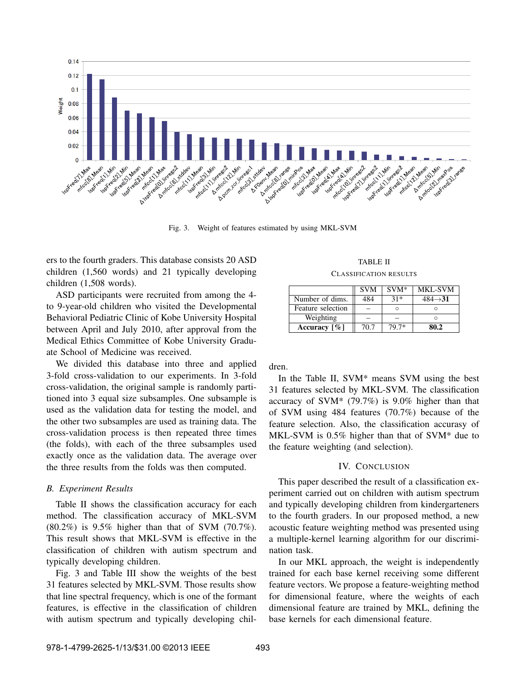

Fig. 3. Weight of features estimated by using MKL-SVM

ers to the fourth graders. This database consists 20 ASD children (1,560 words) and 21 typically developing children (1,508 words).

ASD participants were recruited from among the 4 to 9-year-old children who visited the Developmental Behavioral Pediatric Clinic of Kobe University Hospital between April and July 2010, after approval from the Medical Ethics Committee of Kobe University Graduate School of Medicine was received.

We divided this database into three and applied 3-fold cross-validation to our experiments. In 3-fold cross-validation, the original sample is randomly partitioned into 3 equal size subsamples. One subsample is used as the validation data for testing the model, and the other two subsamples are used as training data. The cross-validation process is then repeated three times (the folds), with each of the three subsamples used exactly once as the validation data. The average over the three results from the folds was then computed.

#### *B. Experiment Results*

Table II shows the classification accuracy for each method. The classification accuracy of MKL-SVM (80.2%) is 9.5% higher than that of SVM (70.7%). This result shows that MKL-SVM is effective in the classification of children with autism spectrum and typically developing children.

Fig. 3 and Table III show the weights of the best 31 features selected by MKL-SVM. Those results show that line spectral frequency, which is one of the formant features, is effective in the classification of children with autism spectrum and typically developing chil-

TABLE II CLASSIFICATION RESULTS

|                             | <b>SVM</b> | $SVM*$ | <b>MKL-SVM</b>       |
|-----------------------------|------------|--------|----------------------|
| Number of dims.             | 484        | $31*$  | $484 \rightarrow 31$ |
| Feature selection           |            |        |                      |
| Weighting                   |            |        |                      |
| Accuracy $\lceil \% \rceil$ | 70.7       | 79.7*  | 80.2                 |

dren.

In the Table II, SVM\* means SVM using the best 31 features selected by MKL-SVM. The classification accuracy of SVM\* (79.7%) is 9.0% higher than that of SVM using 484 features (70.7%) because of the feature selection. Also, the classification accurasy of MKL-SVM is 0.5% higher than that of SVM\* due to the feature weighting (and selection).

#### IV. CONCLUSION

This paper described the result of a classification experiment carried out on children with autism spectrum and typically developing children from kindergarteners to the fourth graders. In our proposed method, a new acoustic feature weighting method was presented using a multiple-kernel learning algorithm for our discrimination task.

In our MKL approach, the weight is independently trained for each base kernel receiving some different feature vectors. We propose a feature-weighting method for dimensional feature, where the weights of each dimensional feature are trained by MKL, defining the base kernels for each dimensional feature.